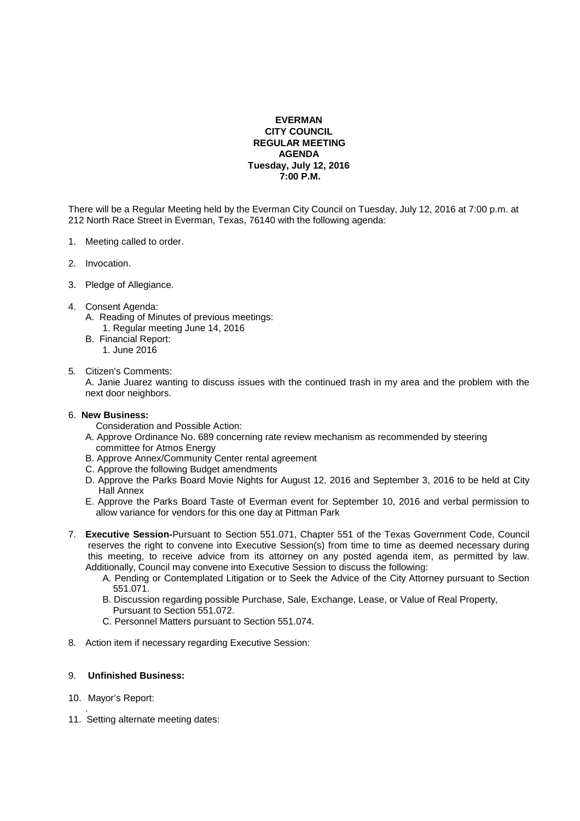## **EVERMAN CITY COUNCIL REGULAR MEETING AGENDA Tuesday, July 12, 2016 7:00 P.M.**

There will be a Regular Meeting held by the Everman City Council on Tuesday, July 12, 2016 at 7:00 p.m. at 212 North Race Street in Everman, Texas, 76140 with the following agenda:

- 1. Meeting called to order.
- 2. Invocation.
- 3. Pledge of Allegiance.
- 4. Consent Agenda:
	- A. Reading of Minutes of previous meetings: 1. Regular meeting June 14, 2016
	- B. Financial Report:
		- 1. June 2016
- 5. Citizen's Comments:

 A. Janie Juarez wanting to discuss issues with the continued trash in my area and the problem with the next door neighbors.

## 6. **New Business:**

- Consideration and Possible Action:
- A. Approve Ordinance No. 689 concerning rate review mechanism as recommended by steering committee for Atmos Energy
- B. Approve Annex/Community Center rental agreement
- C. Approve the following Budget amendments
- D. Approve the Parks Board Movie Nights for August 12, 2016 and September 3, 2016 to be held at City Hall Annex
- E. Approve the Parks Board Taste of Everman event for September 10, 2016 and verbal permission to allow variance for vendors for this one day at Pittman Park
- 7. **Executive Session-**Pursuant to Section 551.071, Chapter 551 of the Texas Government Code, Council reserves the right to convene into Executive Session(s) from time to time as deemed necessary during this meeting, to receive advice from its attorney on any posted agenda item, as permitted by law. Additionally, Council may convene into Executive Session to discuss the following:
	- A. Pending or Contemplated Litigation or to Seek the Advice of the City Attorney pursuant to Section 551.071.
	- B. Discussion regarding possible Purchase, Sale, Exchange, Lease, or Value of Real Property, Pursuant to Section 551.072.
	- C. Personnel Matters pursuant to Section 551.074.
- 8. Action item if necessary regarding Executive Session:

## 9. **Unfinished Business:**

10. Mayor's Report:

.

11. Setting alternate meeting dates: